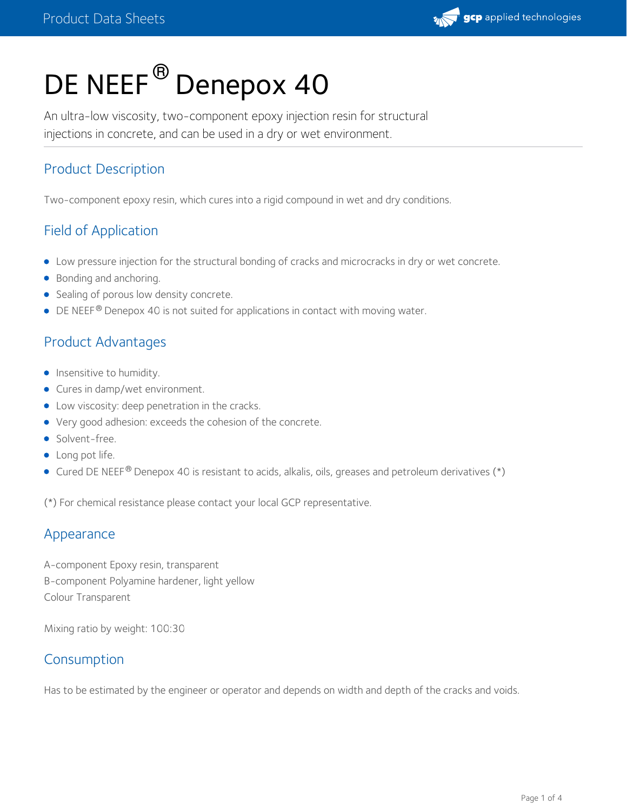

# DE NEEF $^\circledR$  Denepox 40

An ultra-low viscosity, two-component epoxy injection resin for structural injections in concrete, and can be used in a dry or wet environment.

# Product Description

Two-component epoxy resin, which cures into a rigid compound in wet and dry conditions.

## Field of Application

- Low pressure injection for the structural bonding of cracks and microcracks in dry or wet concrete.
- Bonding and anchoring.
- **•** Sealing of porous low density concrete.
- DE NEEF® Denepox 40 is not suited for applications in contact with moving water.

#### Product Advantages

- $\bullet$  Insensitive to humidity.
- Cures in damp/wet environment.
- Low viscosity: deep penetration in the cracks.
- Very good adhesion: exceeds the cohesion of the concrete.
- Solvent-free.
- **•** Long pot life.
- Cured DE NEEF® Denepox 40 is resistant to acids, alkalis, oils, greases and petroleum derivatives (\*)

(\*) For chemical resistance please contact your local GCP representative.

#### Appearance

A-component Epoxy resin, transparent B-component Polyamine hardener, light yellow Colour Transparent

Mixing ratio by weight: 100:30

#### **Consumption**

Has to be estimated by the engineer or operator and depends on width and depth of the cracks and voids.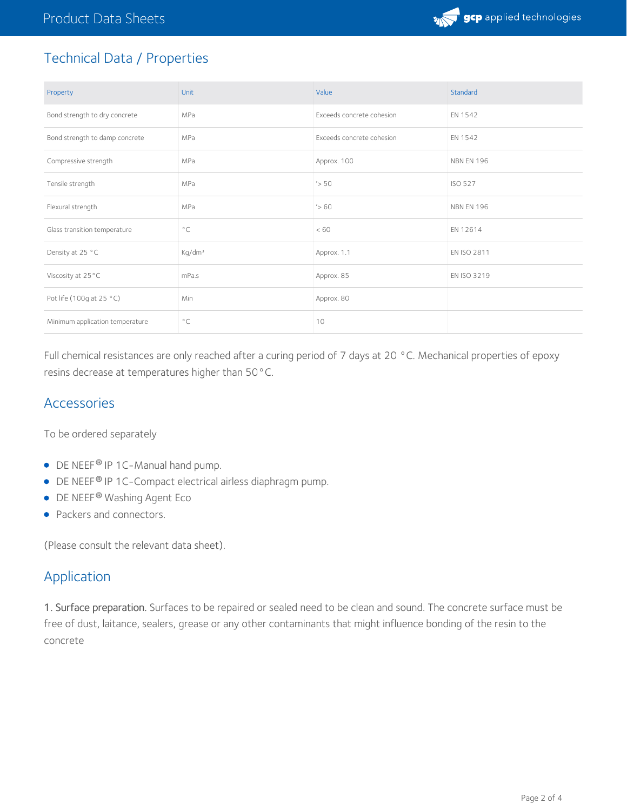

# Technical Data / Properties

| Property                        | <b>Unit</b>        | Value                     | Standard       |
|---------------------------------|--------------------|---------------------------|----------------|
| Bond strength to dry concrete   | MPa                | Exceeds concrete cohesion | EN 1542        |
| Bond strength to damp concrete  | MPa                | Exceeds concrete cohesion | EN 1542        |
| Compressive strength            | MPa                | Approx. 100               | NBN EN 196     |
| Tensile strength                | MPa                | > 50                      | <b>ISO 527</b> |
| Flexural strength               | MPa                | 50 <sup>o</sup>           | NBN EN 196     |
| Glass transition temperature    | $^{\circ}$ C       | < 60                      | EN 12614       |
| Density at 25 °C                | Kg/dm <sup>3</sup> | Approx. 1.1               | EN ISO 2811    |
| Viscosity at 25°C               | mPa.s              | Approx. 85                | EN ISO 3219    |
| Pot life (100g at 25 °C)        | Min                | Approx. 80                |                |
| Minimum application temperature | $^{\circ}$ C       | 10                        |                |

Full chemical resistances are only reached after a curing period of 7 days at 20 °C. Mechanical properties of epoxy resins decrease at temperatures higher than 50°C.

#### Accessories

To be ordered separately

- $\bullet$  DE NEEF® IP 1C-Manual hand pump.
- DE NEEF<sup>®</sup> IP 1C-Compact electrical airless diaphragm pump.
- DE NEEF® Washing Agent Eco
- Packers and connectors.

(Please consult the relevant data sheet).

#### Application

1. Surface preparation. Surfaces to be repaired or sealed need to be clean and sound. The concrete surface must be free of dust, laitance, sealers, grease or any other contaminants that might influence bonding of the resin to the concrete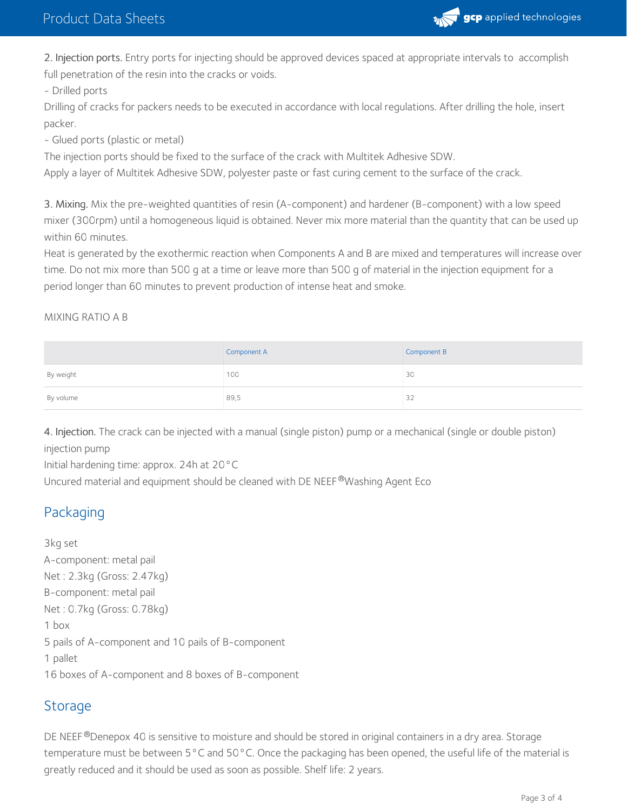

2. Injection ports. Entry ports for injecting should be approved devices spaced at appropriate intervals to accomplish full penetration of the resin into the cracks or voids.

- Drilled ports

Drilling of cracks for packers needs to be executed in accordance with local regulations. After drilling the hole, insert packer.

- Glued ports (plastic or metal)

The injection ports should be fixed to the surface of the crack with Multitek Adhesive SDW.

Apply a layer of Multitek Adhesive SDW, polyester paste or fast curing cement to the surface of the crack.

3. Mixing. Mix the pre-weighted quantities of resin (A-component) and hardener (B-component) with a low speed mixer (300rpm) until a homogeneous liquid is obtained. Never mix more material than the quantity that can be used up within 60 minutes.

Heat is generated by the exothermic reaction when Components A and B are mixed and temperatures will increase over time. Do not mix more than 500 g at a time or leave more than 500 g of material in the injection equipment for a period longer than 60 minutes to prevent production of intense heat and smoke.

#### MIXING RATIO A B

|           | Component A | Component B |
|-----------|-------------|-------------|
| By weight | 100         | 30          |
| By volume | 89,5        | 32          |

4. Injection. The crack can be injected with a manual (single piston) pump or a mechanical (single or double piston) injection pump

Initial hardening time: approx. 24h at 20°C

Uncured material and equipment should be cleaned with DE NEEF  $^\circledR$ Washing Agent Eco

## Packaging

3kg set A-component: metal pail Net : 2.3kg (Gross: 2.47kg) B-component: metal pail Net : 0.7kg (Gross: 0.78kg) 1 box 5 pails of A-component and 10 pails of B-component 1 pallet 16 boxes of A-component and 8 boxes of B-component

## **Storage**

DE NEEF®Denepox 40 is sensitive to moisture and should be stored in original containers in a dry area. Storage temperature must be between 5°C and 50°C. Once the packaging has been opened, the useful life of the material is greatly reduced and it should be used as soon as possible. Shelf life: 2 years.